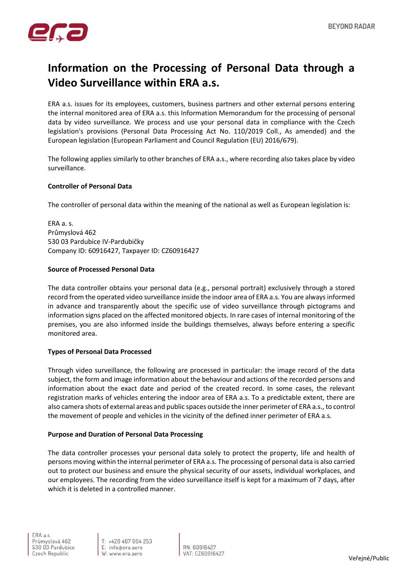

# **Information on the Processing of Personal Data through a Video Surveillance within ERA a.s.**

ERA a.s. issues for its employees, customers, business partners and other external persons entering the internal monitored area of ERA a.s. this Information Memorandum for the processing of personal data by video surveillance. We process and use your personal data in compliance with the Czech legislation's provisions (Personal Data Processing Act No. 110/2019 Coll., As amended) and the European legislation (European Parliament and Council Regulation (EU) 2016/679).

The following applies similarly to other branches of ERA a.s., where recording also takes place by video surveillance.

## **Controller of Personal Data**

The controller of personal data within the meaning of the national as well as European legislation is:

ERA a. s. Průmyslová 462 530 03 Pardubice IV-Pardubičky Company ID: 60916427, Taxpayer ID: CZ60916427

## **Source of Processed Personal Data**

The data controller obtains your personal data (e.g., personal portrait) exclusively through a stored record from the operated video surveillance inside the indoor area of ERA a.s. You are always informed in advance and transparently about the specific use of video surveillance through pictograms and information signs placed on the affected monitored objects. In rare cases of internal monitoring of the premises, you are also informed inside the buildings themselves, always before entering a specific monitored area.

# **Types of Personal Data Processed**

Through video surveillance, the following are processed in particular: the image record of the data subject, the form and image information about the behaviour and actions of the recorded persons and information about the exact date and period of the created record. In some cases, the relevant registration marks of vehicles entering the indoor area of ERA a.s. To a predictable extent, there are also camera shots of external areas and public spaces outside the inner perimeter of ERA a.s., to control the movement of people and vehicles in the vicinity of the defined inner perimeter of ERA a.s.

# **Purpose and Duration of Personal Data Processing**

The data controller processes your personal data solely to protect the property, life and health of persons moving within the internal perimeter of ERA a.s. The processing of personal data is also carried out to protect our business and ensure the physical security of our assets, individual workplaces, and our employees. The recording from the video surveillance itself is kept for a maximum of 7 days, after which it is deleted in a controlled manner.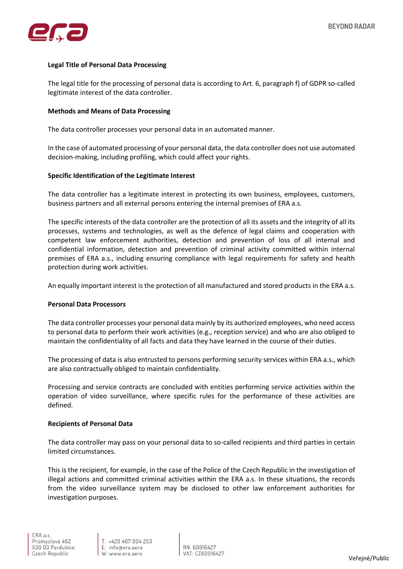

## **Legal Title of Personal Data Processing**

The legal title for the processing of personal data is according to Art. 6, paragraph f) of GDPR so-called legitimate interest of the data controller.

#### **Methods and Means of Data Processing**

The data controller processes your personal data in an automated manner.

In the case of automated processing of your personal data, the data controller does not use automated decision-making, including profiling, which could affect your rights.

## **Specific Identification of the Legitimate Interest**

The data controller has a legitimate interest in protecting its own business, employees, customers, business partners and all external persons entering the internal premises of ERA a.s.

The specific interests of the data controller are the protection of all its assets and the integrity of all its processes, systems and technologies, as well as the defence of legal claims and cooperation with competent law enforcement authorities, detection and prevention of loss of all internal and confidential information, detection and prevention of criminal activity committed within internal premises of ERA a.s., including ensuring compliance with legal requirements for safety and health protection during work activities.

An equally important interest is the protection of all manufactured and stored products in the ERA a.s.

## **Personal Data Processors**

The data controller processes your personal data mainly by its authorized employees, who need access to personal data to perform their work activities (e.g., reception service) and who are also obliged to maintain the confidentiality of all facts and data they have learned in the course of their duties.

The processing of data is also entrusted to persons performing security services within ERA a.s., which are also contractually obliged to maintain confidentiality.

Processing and service contracts are concluded with entities performing service activities within the operation of video surveillance, where specific rules for the performance of these activities are defined.

#### **Recipients of Personal Data**

The data controller may pass on your personal data to so-called recipients and third parties in certain limited circumstances.

This is the recipient, for example, in the case of the Police of the Czech Republic in the investigation of illegal actions and committed criminal activities within the ERA a.s. In these situations, the records from the video surveillance system may be disclosed to other law enforcement authorities for investigation purposes.